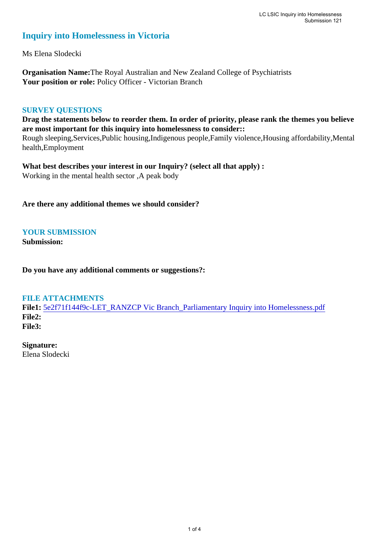# **Inquiry into Homelessness in Victoria**

Ms Elena Slodecki

**Organisation Name:**The Royal Australian and New Zealand College of Psychiatrists Your position or role: Policy Officer - Victorian Branch

## **SURVEY QUESTIONS**

**Drag the statements below to reorder them. In order of priority, please rank the themes you believe are most important for this inquiry into homelessness to consider::** 

Rough sleeping,Services,Public housing,Indigenous people,Family violence,Housing affordability,Mental health,Employment

**What best describes your interest in our Inquiry? (select all that apply) :**  Working in the mental health sector ,A peak body

**Are there any additional themes we should consider?**

**YOUR SUBMISSION**

**Submission:** 

**Do you have any additional comments or suggestions?:** 

### **FILE ATTACHMENTS**

**File1:** [5e2f71f144f9c-LET\\_RANZCP Vic Branch\\_Parliamentary Inquiry into Homelessness.pdf](https://www.parliament.vic.gov.au/component/rsform/submission-view-file/ac5082bd6e0d9e6b8247fb2b5f4caf21/80c9fa57c967f970c6e86d774357d0aa?Itemid=463) **File2: File3:** 

**Signature:** Elena Slodecki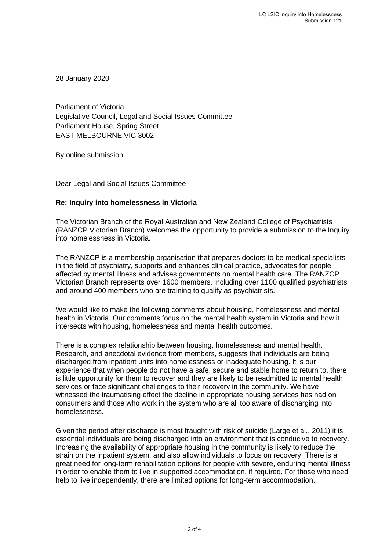28 January 2020

Parliament of Victoria Legislative Council, Legal and Social Issues Committee Parliament House, Spring Street EAST MELBOURNE VIC 3002

By online submission

Dear Legal and Social Issues Committee

### **Re: Inquiry into homelessness in Victoria**

The Victorian Branch of the Royal Australian and New Zealand College of Psychiatrists (RANZCP Victorian Branch) welcomes the opportunity to provide a submission to the Inquiry into homelessness in Victoria.

The RANZCP is a membership organisation that prepares doctors to be medical specialists in the field of psychiatry, supports and enhances clinical practice, advocates for people affected by mental illness and advises governments on mental health care. The RANZCP Victorian Branch represents over 1600 members, including over 1100 qualified psychiatrists and around 400 members who are training to qualify as psychiatrists.

We would like to make the following comments about housing, homelessness and mental health in Victoria. Our comments focus on the mental health system in Victoria and how it intersects with housing, homelessness and mental health outcomes.

There is a complex relationship between housing, homelessness and mental health. Research, and anecdotal evidence from members, suggests that individuals are being discharged from inpatient units into homelessness or inadequate housing. It is our experience that when people do not have a safe, secure and stable home to return to, there is little opportunity for them to recover and they are likely to be readmitted to mental health services or face significant challenges to their recovery in the community. We have witnessed the traumatising effect the decline in appropriate housing services has had on consumers and those who work in the system who are all too aware of discharging into homelessness.

Given the period after discharge is most fraught with risk of suicide (Large et al., 2011) it is essential individuals are being discharged into an environment that is conducive to recovery. Increasing the availability of appropriate housing in the community is likely to reduce the strain on the inpatient system, and also allow individuals to focus on recovery. There is a great need for long-term rehabilitation options for people with severe, enduring mental illness in order to enable them to live in supported accommodation, if required. For those who need help to live independently, there are limited options for long-term accommodation.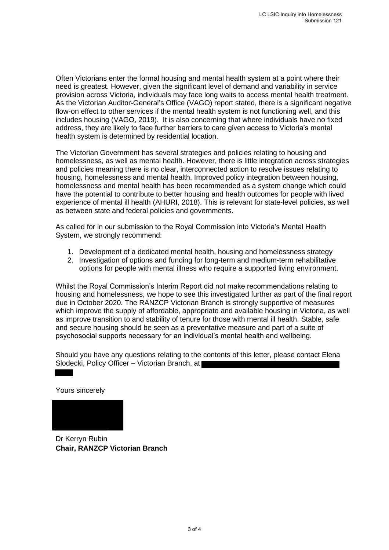Often Victorians enter the formal housing and mental health system at a point where their need is greatest. However, given the significant level of demand and variability in service provision across Victoria, individuals may face long waits to access mental health treatment. As the Victorian Auditor-General's Office (VAGO) report stated, there is a significant negative flow-on effect to other services if the mental health system is not functioning well, and this includes housing (VAGO, 2019). It is also concerning that where individuals have no fixed address, they are likely to face further barriers to care given access to Victoria's mental health system is determined by residential location.

The Victorian Government has several strategies and policies relating to housing and homelessness, as well as mental health. However, there is little integration across strategies and policies meaning there is no clear, interconnected action to resolve issues relating to housing, homelessness and mental health. Improved policy integration between housing, homelessness and mental health has been recommended as a system change which could have the potential to contribute to better housing and health outcomes for people with lived experience of mental ill health (AHURI, 2018). This is relevant for state-level policies, as well as between state and federal policies and governments.

As called for in our submission to the Royal Commission into Victoria's Mental Health System, we strongly recommend:

- 1. Development of a dedicated mental health, housing and homelessness strategy
- 2. Investigation of options and funding for long-term and medium-term rehabilitative options for people with mental illness who require a supported living environment.

Whilst the Royal Commission's Interim Report did not make recommendations relating to housing and homelessness, we hope to see this investigated further as part of the final report due in October 2020. The RANZCP Victorian Branch is strongly supportive of measures which improve the supply of affordable, appropriate and available housing in Victoria, as well as improve transition to and stability of tenure for those with mental ill health. Stable, safe and secure housing should be seen as a preventative measure and part of a suite of psychosocial supports necessary for an individual's mental health and wellbeing.

Should you have any questions relating to the contents of this letter, please contact Elena Slodecki, Policy Officer – Victorian Branch, at

Yours sincerely

Dr Kerryn Rubin **Chair, RANZCP Victorian Branch**